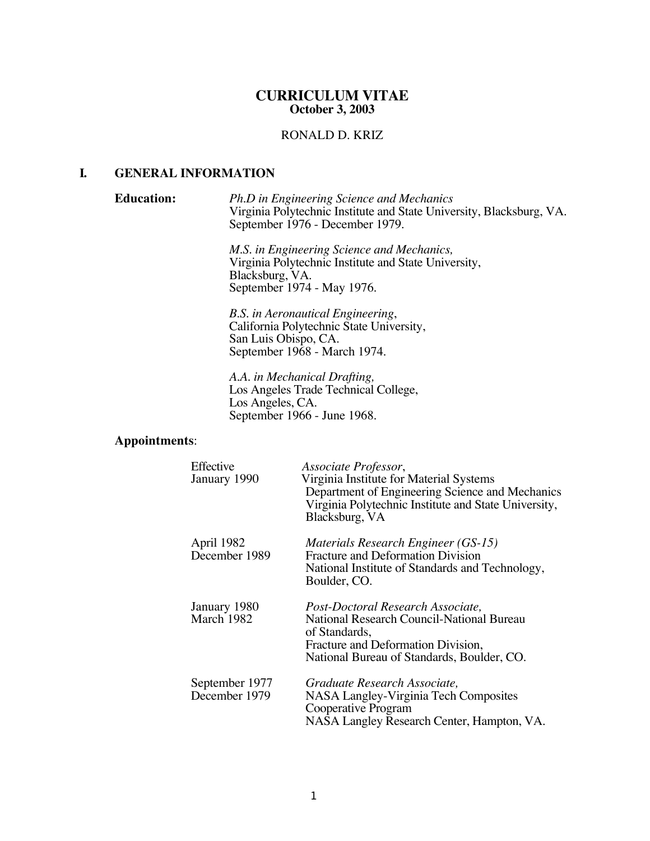### **CURRICULUM VITAE October 3, 2003**

# RONALD D. KRIZ

#### **I. GENERAL INFORMATION**

**Education:** *Ph.D in Engineering Science and Mechanics* Virginia Polytechnic Institute and State University, Blacksburg, VA. September 1976 - December 1979.

> *M.S. in Engineering Science and Mechanics,* Virginia Polytechnic Institute and State University, Blacksburg, VA. September 1974 - May 1976.

*B.S. in Aeronautical Engineering*, California Polytechnic State University, San Luis Obispo, CA. September 1968 - March 1974.

*A.A. in Mechanical Drafting,* Los Angeles Trade Technical College, Los Angeles, CA. September 1966 - June 1968.

#### **Appointments**:

| Effective<br>January 1990       | Associate Professor,<br>Virginia Institute for Material Systems<br>Department of Engineering Science and Mechanics<br>Virginia Polytechnic Institute and State University,<br>Blacksburg, VA |
|---------------------------------|----------------------------------------------------------------------------------------------------------------------------------------------------------------------------------------------|
| April 1982<br>December 1989     | Materials Research Engineer (GS-15)<br><b>Fracture and Deformation Division</b><br>National Institute of Standards and Technology,<br>Boulder, CO.                                           |
| January 1980<br>March 1982      | Post-Doctoral Research Associate,<br>National Research Council-National Bureau<br>of Standards,<br>Fracture and Deformation Division,<br>National Bureau of Standards, Boulder, CO.          |
| September 1977<br>December 1979 | Graduate Research Associate,<br>NASA Langley-Virginia Tech Composites<br>Cooperative Program<br>NASA Langley Research Center, Hampton, VA.                                                   |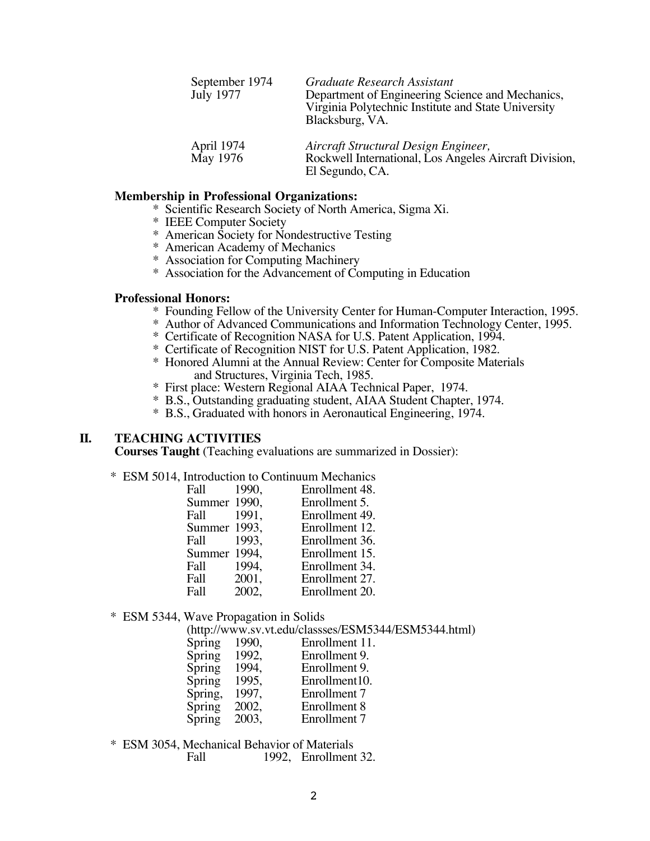| September 1974<br><b>July 1977</b> | Graduate Research Assistant<br>Department of Engineering Science and Mechanics,<br>Virginia Polytechnic Institute and State University<br>Blacksburg, VA. |  |
|------------------------------------|-----------------------------------------------------------------------------------------------------------------------------------------------------------|--|
| April 1974<br>May 1976             | Aircraft Structural Design Engineer,<br>Rockwell International, Los Angeles Aircraft Division,<br>El Segundo, CA.                                         |  |

## **Membership in Professional Organizations:**

- \* Scientific Research Society of North America, Sigma Xi.
- \* IEEE Computer Society
- \* American Society for Nondestructive Testing
- \* American Academy of Mechanics
- \* Association for Computing Machinery
- \* Association for the Advancement of Computing in Education

#### **Professional Honors:**

- \* Founding Fellow of the University Center for Human-Computer Interaction, 1995.
- \* Author of Advanced Communications and Information Technology Center, 1995.
- \* Certificate of Recognition NASA for U.S. Patent Application, 1994.
- \* Certificate of Recognition NIST for U.S. Patent Application, 1982.
- \* Honored Alumni at the Annual Review: Center for Composite Materials and Structures, Virginia Tech, 1985.
- \* First place: Western Regional AIAA Technical Paper, 1974.
- \* B.S., Outstanding graduating student, AIAA Student Chapter, 1974.
- \* B.S., Graduated with honors in Aeronautical Engineering, 1974.

### **II. TEACHING ACTIVITIES**

**Courses Taught** (Teaching evaluations are summarized in Dossier):

\* ESM 5014, Introduction to Continuum Mechanics

| Fall         | 1990, | Enrollment 48. |
|--------------|-------|----------------|
| Summer 1990, |       | Enrollment 5.  |
| Fall         | 1991, | Enrollment 49. |
| Summer 1993, |       | Enrollment 12. |
| Fall         | 1993, | Enrollment 36. |
| Summer 1994, |       | Enrollment 15. |
| Fall         | 1994. | Enrollment 34. |
| Fall         | 2001, | Enrollment 27. |
| Fall         | 2002, | Enrollment 20. |

#### \* ESM 5344, Wave Propagation in Solids

(http://www.sv.vt.edu/classses/ESM5344/ESM5344.html)

| Spring  | 1990, | Enrollment 11. |
|---------|-------|----------------|
| Spring  | 1992. | Enrollment 9.  |
| Spring  | 1994. | Enrollment 9.  |
| Spring  | 1995, | Enrollment10.  |
| Spring, | 1997, | Enrollment 7   |
| Spring  | 2002, | Enrollment 8   |
| Spring  | 2003, | Enrollment 7   |
|         |       |                |

\* ESM 3054, Mechanical Behavior of Materials Fall 1992, Enrollment 32.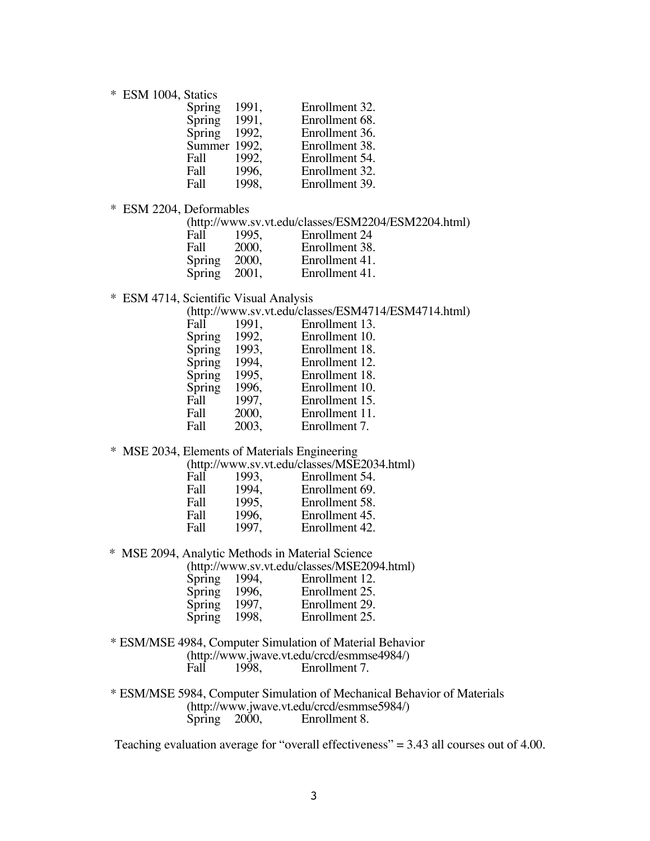\* ESM 1004, Statics

| Spring | 1991, | Enrollment 32. |
|--------|-------|----------------|
| Spring | 1991, | Enrollment 68. |
| Spring | 1992. | Enrollment 36. |
| Summer | 1992. | Enrollment 38. |
| Fall   | 1992. | Enrollment 54. |
| Fall   | 1996, | Enrollment 32. |
| Fall   | 1998. | Enrollment 39. |

\* ESM 2204, Deformables

(http://www.sv.vt.edu/classes/ESM2204/ESM2204.html)

| Fall   | 1995, | Enrollment 24  |
|--------|-------|----------------|
| Fall   | 2000, | Enrollment 38. |
| Spring | 2000, | Enrollment 41. |
| Spring | 2001, | Enrollment 41. |

\* ESM 4714, Scientific Visual Analysis

(http://www.sv.vt.edu/classes/ESM4714/ESM4714.html)

| Fall   | 1991, | Enrollment 13. |
|--------|-------|----------------|
| Spring | 1992, | Enrollment 10. |
| Spring | 1993, | Enrollment 18. |
| Spring | 1994, | Enrollment 12. |
| Spring | 1995, | Enrollment 18. |
| Spring | 1996, | Enrollment 10. |
| Fall   | 1997, | Enrollment 15. |
| Fall   | 2000, | Enrollment 11. |
| Fall   | 2003, | Enrollment 7.  |
|        |       |                |

\* MSE 2034, Elements of Materials Engineering

(http://www.sv.vt.edu/classes/MSE2034.html)

| Fall | 1993, | Enrollment 54. |
|------|-------|----------------|
| Fall | 1994, | Enrollment 69. |
| Fall | 1995, | Enrollment 58. |
| Fall | 1996, | Enrollment 45. |
| Fall | 1997, | Enrollment 42. |

\* MSE 2094, Analytic Methods in Material Science

|  | (http://www.sv.vt.edu/classes/MSE2094.html) |
|--|---------------------------------------------|
|--|---------------------------------------------|

| Spring | 1994, | Enrollment 12. |
|--------|-------|----------------|
| Spring | 1996, | Enrollment 25. |
| Spring | 1997, | Enrollment 29. |
| Spring | 1998, | Enrollment 25. |

\* ESM/MSE 4984, Computer Simulation of Material Behavior (http://www.jwave.vt.edu/crcd/esmmse4984/)<br>Fall 1998. Enrollment 7. Enrollment 7.

\* ESM/MSE 5984, Computer Simulation of Mechanical Behavior of Materials (http://www.jwave.vt.edu/crcd/esmmse5984/)<br>Spring 2000, Enrollment 8. Enrollment 8.

Teaching evaluation average for "overall effectiveness"  $= 3.43$  all courses out of 4.00.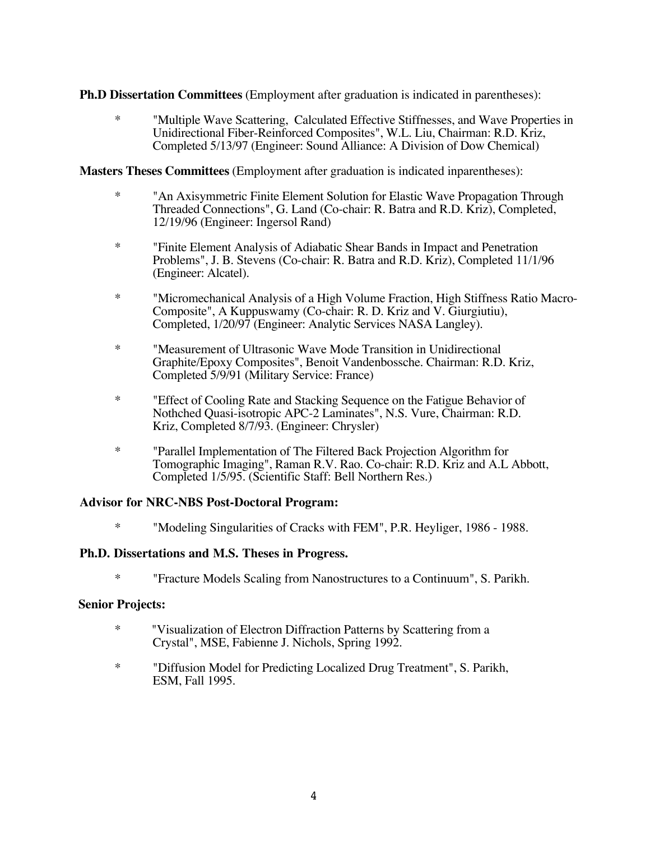**Ph.D Dissertation Committees** (Employment after graduation is indicated in parentheses):

\* "Multiple Wave Scattering, Calculated Effective Stiffnesses, and Wave Properties in Unidirectional Fiber-Reinforced Composites", W.L. Liu, Chairman: R.D. Kriz, Completed 5/13/97 (Engineer: Sound Alliance: A Division of Dow Chemical)

**Masters Theses Committees** (Employment after graduation is indicated inparentheses):

- \* "An Axisymmetric Finite Element Solution for Elastic Wave Propagation Through Threaded Connections", G. Land (Co-chair: R. Batra and R.D. Kriz), Completed, 12/19/96 (Engineer: Ingersol Rand)
- \* "Finite Element Analysis of Adiabatic Shear Bands in Impact and Penetration Problems", J. B. Stevens (Co-chair: R. Batra and R.D. Kriz), Completed 11/1/96 (Engineer: Alcatel).
- \* "Micromechanical Analysis of a High Volume Fraction, High Stiffness Ratio Macro-Composite", A Kuppuswamy (Co-chair: R. D. Kriz and V. Giurgiutiu), Completed, 1/20/97 (Engineer: Analytic Services NASA Langley).
- \* "Measurement of Ultrasonic Wave Mode Transition in Unidirectional Graphite/Epoxy Composites", Benoit Vandenbossche. Chairman: R.D. Kriz, Completed 5/9/91 (Military Service: France)
- \* "Effect of Cooling Rate and Stacking Sequence on the Fatigue Behavior of Nothched Quasi-isotropic APC-2 Laminates", N.S. Vure, Chairman: R.D. Kriz, Completed 8/7/93. (Engineer: Chrysler)
- \* "Parallel Implementation of The Filtered Back Projection Algorithm for Tomographic Imaging", Raman R.V. Rao. Co-chair: R.D. Kriz and A.L Abbott, Completed 1/5/95. (Scientific Staff: Bell Northern Res.)

# **Advisor for NRC-NBS Post-Doctoral Program:**

\* "Modeling Singularities of Cracks with FEM", P.R. Heyliger, 1986 - 1988.

### **Ph.D. Dissertations and M.S. Theses in Progress.**

\* "Fracture Models Scaling from Nanostructures to a Continuum", S. Parikh.

### **Senior Projects:**

- \* "Visualization of Electron Diffraction Patterns by Scattering from a Crystal", MSE, Fabienne J. Nichols, Spring 1992.
- \* "Diffusion Model for Predicting Localized Drug Treatment", S. Parikh, ESM, Fall 1995.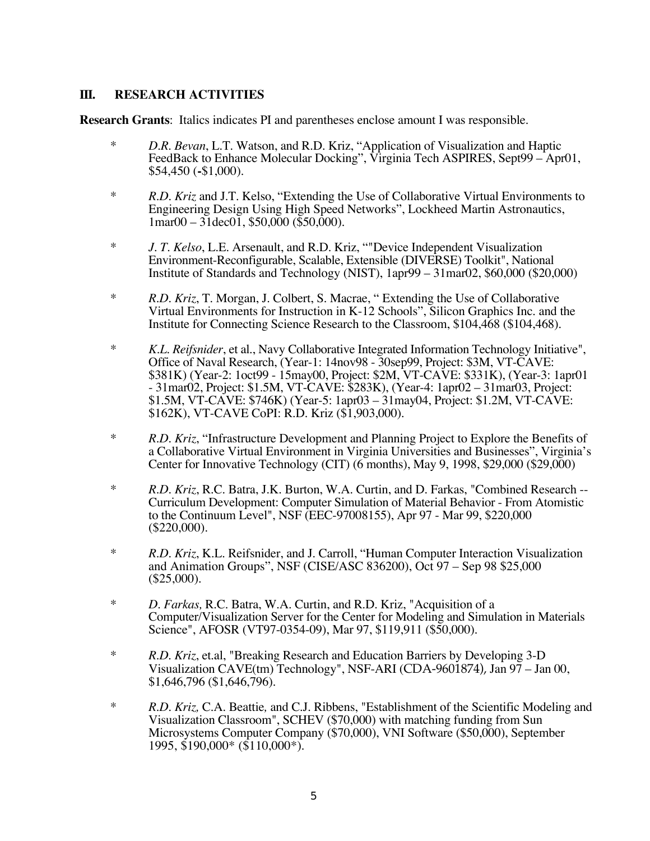## **III. RESEARCH ACTIVITIES**

**Research Grants**: Italics indicates PI and parentheses enclose amount I was responsible.

- \* *D.R. Bevan*, L.T. Watson, and R.D. Kriz, "Application of Visualization and Haptic FeedBack to Enhance Molecular Docking", Virginia Tech ASPIRES, Sept99 – Apr01, \$54,450 (**-**\$1,000).
- \* *R.D. Kriz* and J.T. Kelso, "Extending the Use of Collaborative Virtual Environments to Engineering Design Using High Speed Networks", Lockheed Martin Astronautics,  $1$ mar $00 - 31$ dec $01$ , \$50,000 (\$50,000).
- \* *J. T. Kelso*, L.E. Arsenault, and R.D. Kriz, ""Device Independent Visualization Environment-Reconfigurable, Scalable, Extensible (DIVERSE) Toolkit", National Institute of Standards and Technology (NIST), 1apr99 – 31mar02, \$60,000 (\$20,000)
- \* *R.D. Kriz*, T. Morgan, J. Colbert, S. Macrae, " Extending the Use of Collaborative Virtual Environments for Instruction in K-12 Schools", Silicon Graphics Inc. and the Institute for Connecting Science Research to the Classroom, \$104,468 (\$104,468).
- \* *K.L. Reifsnider*, et al., Navy Collaborative Integrated Information Technology Initiative", Office of Naval Research, (Year-1: 14nov98 - 30sep99, Project: \$3M, VT-CAVE: \$381K) (Year-2: 1oct99 - 15may00, Project: \$2M, VT-CAVE: \$331K), (Year-3: 1apr01 - 31mar02, Project: \$1.5M, VT-CAVE: \$283K), (Year-4: 1apr02 – 31mar03, Project: \$1.5M, VT-CAVE: \$746K) (Year-5: 1apr03 – 31may04, Project: \$1.2M, VT-CAVE: \$162K), VT-CAVE CoPI: R.D. Kriz (\$1,903,000).
- \* *R.D. Kriz*, "Infrastructure Development and Planning Project to Explore the Benefits of a Collaborative Virtual Environment in Virginia Universities and Businesses", Virginia's Center for Innovative Technology (CIT) (6 months), May 9, 1998, \$29,000 (\$29,000)
- \* *R.D. Kriz*, R.C. Batra, J.K. Burton, W.A. Curtin, and D. Farkas, "Combined Research -- Curriculum Development: Computer Simulation of Material Behavior - From Atomistic to the Continuum Level", NSF (EEC-97008155), Apr 97 - Mar 99, \$220,000 (\$220,000).
- \* *R.D. Kriz*, K.L. Reifsnider, and J. Carroll, "Human Computer Interaction Visualization and Animation Groups", NSF (CISE/ASC 836200), Oct 97 – Sep 98 \$25,000  $($25,000)$ .
- \* *D. Farkas,* R.C. Batra, W.A. Curtin, and R.D. Kriz, "Acquisition of a Computer/Visualization Server for the Center for Modeling and Simulation in Materials Science", AFOSR (VT97-0354-09), Mar 97, \$119,911 (\$50,000).
- \* *R.D. Kriz*, et.al, "Breaking Research and Education Barriers by Developing 3-D Visualization CAVE(tm) Technology", NSF-ARI (CDA-9601874), Jan 97 – Jan 00, \$1,646,796 (\$1,646,796).
- \* *R.D. Kriz,* C.A. Beattie*,* and C.J. Ribbens, "Establishment of the Scientific Modeling and Visualization Classroom", SCHEV (\$70,000) with matching funding from Sun Microsystems Computer Company (\$70,000), VNI Software (\$50,000), September 1995, \$190,000\* (\$110,000\*).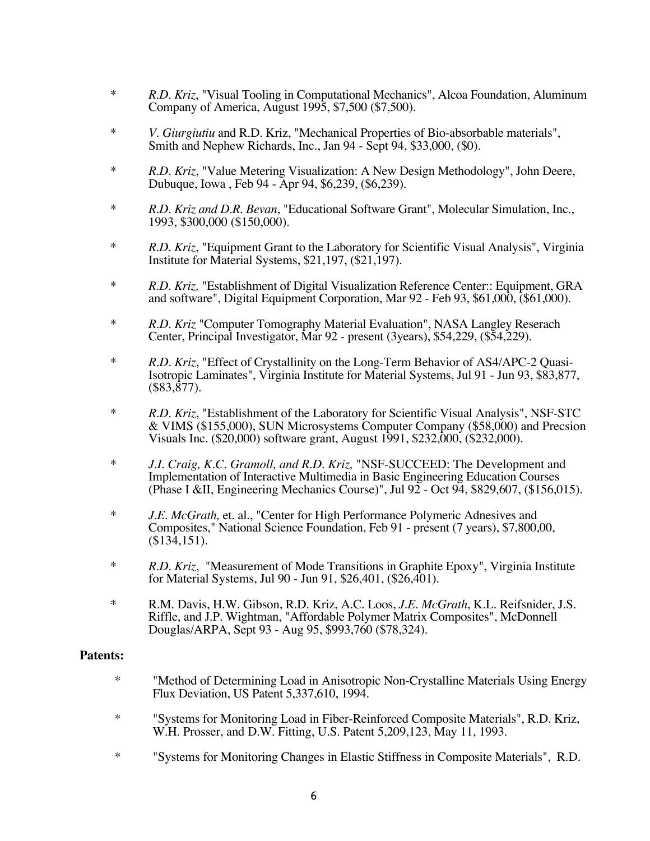- \* *R.D. Kriz*, "Visual Tooling in Computational Mechanics", Alcoa Foundation, Aluminum Company of America, August 1995, \$7,500 (\$7,500).
- \* *V. Giurgiutiu* and R.D. Kriz, "Mechanical Properties of Bio-absorbable materials", Smith and Nephew Richards, Inc., Jan 94 - Sept 94, \$33,000, (\$0).
- \* *R.D. Kriz*, "Value Metering Visualization: A New Design Methodology", John Deere, Dubuque, Iowa , Feb 94 - Apr 94, \$6,239, (\$6,239).
- \* *R.D. Kriz and D.R. Bevan*, "Educational Software Grant", Molecular Simulation, Inc., 1993, \$300,000 (\$150,000).
- \* *R.D. Kriz*, "Equipment Grant to the Laboratory for Scientific Visual Analysis", Virginia Institute for Material Systems, \$21,197, (\$21,197).
- \* *R.D. Kriz,* "Establishment of Digital Visualization Reference Center:: Equipment, GRA and software", Digital Equipment Corporation, Mar 92 - Feb 93, \$61,000, (\$61,000).
- \* *R.D. Kriz* "Computer Tomography Material Evaluation", NASA Langley Reserach Center, Principal Investigator, Mar 92 - present (3years), \$54,229, (\$54,229).
- \* *R.D. Kriz*, "Effect of Crystallinity on the Long-Term Behavior of AS4/APC-2 Quasi-Isotropic Laminates", Virginia Institute for Material Systems, Jul 91 - Jun 93, \$83,877,  $($83,877)$ .
- \* *R.D. Kriz*, "Establishment of the Laboratory for Scientific Visual Analysis", NSF-STC & VIMS (\$155,000), SUN Microsystems Computer Company (\$58,000) and Precsion Visuals Inc. (\$20,000) software grant, August 1991, \$232,000, (\$232,000).
- \* *J.I. Craig, K.C. Gramoll, and R.D. Kriz,* "NSF-SUCCEED: The Development and Implementation of Interactive Multimedia in Basic Engineering Education Courses (Phase I &II, Engineering Mechanics Course)", Jul 92 - Oct 94, \$829,607, (\$156,015).
- \* *J.E. McGrath,* et. al., "Center for High Performance Polymeric Adnesives and Composites," National Science Foundation, Feb 91 - present (7 years), \$7,800,00, (\$134,151).
- \* *R.D. Kriz*, "Measurement of Mode Transitions in Graphite Epoxy", Virginia Institute for Material Systems, Jul 90 - Jun 91, \$26,401, (\$26,401).
- \* R.M. Davis, H.W. Gibson, R.D. Kriz, A.C. Loos, *J.E. McGrath*, K.L. Reifsnider, J.S. Riffle, and J.P. Wightman, "Affordable Polymer Matrix Composites", McDonnell Douglas/ARPA, Sept 93 - Aug 95, \$993,760 (\$78,324).

# **Patents:**

- \* "Method of Determining Load in Anisotropic Non-Crystalline Materials Using Energy Flux Deviation, US Patent 5,337,610, 1994.
- \* "Systems for Monitoring Load in Fiber-Reinforced Composite Materials", R.D. Kriz, W.H. Prosser, and D.W. Fitting, U.S. Patent 5,209,123, May 11, 1993.
- \* "Systems for Monitoring Changes in Elastic Stiffness in Composite Materials", R.D.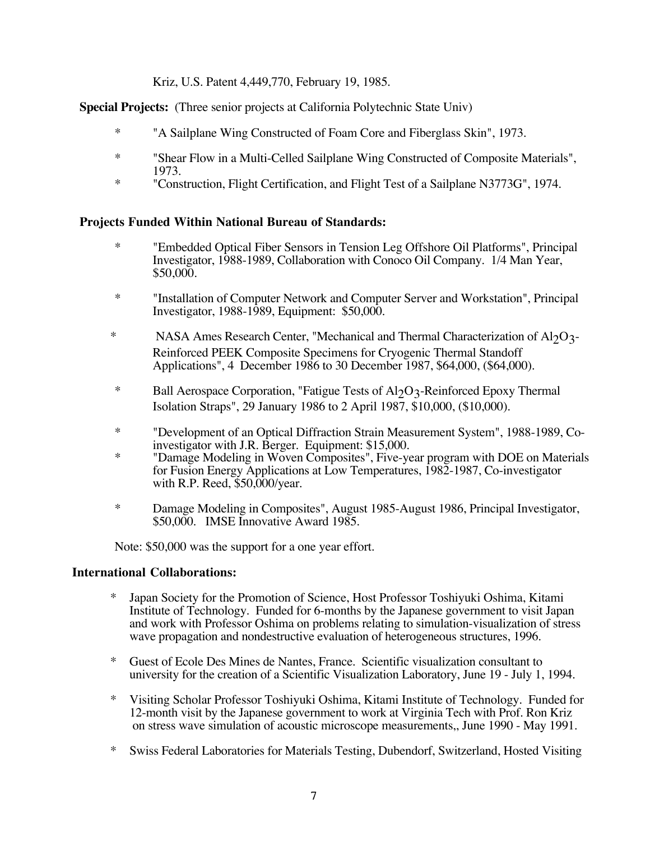Kriz, U.S. Patent 4,449,770, February 19, 1985.

**Special Projects:** (Three senior projects at California Polytechnic State Univ)

- \* "A Sailplane Wing Constructed of Foam Core and Fiberglass Skin", 1973.
- \* "Shear Flow in a Multi-Celled Sailplane Wing Constructed of Composite Materials", 1973.
- \* "Construction, Flight Certification, and Flight Test of a Sailplane N3773G", 1974.

# **Projects Funded Within National Bureau of Standards:**

- \* "Embedded Optical Fiber Sensors in Tension Leg Offshore Oil Platforms", Principal Investigator, 1988-1989, Collaboration with Conoco Oil Company. 1/4 Man Year, \$50,000.
- \* "Installation of Computer Network and Computer Server and Workstation", Principal Investigator, 1988-1989, Equipment: \$50,000.
- \* NASA Ames Research Center, "Mechanical and Thermal Characterization of  $A1_2O3$ -Reinforced PEEK Composite Specimens for Cryogenic Thermal Standoff Applications", 4 December 1986 to 30 December 1987, \$64,000, (\$64,000).
- \* Ball Aerospace Corporation, "Fatigue Tests of  $A1_2O_3$ -Reinforced Epoxy Thermal Isolation Straps", 29 January 1986 to 2 April 1987, \$10,000, (\$10,000).
- \* "Development of an Optical Diffraction Strain Measurement System", 1988-1989, Coinvestigator with J.R. Berger. Equipment: \$15,000.
- \* "Damage Modeling in Woven Composites", Five-year program with DOE on Materials for Fusion Energy Applications at Low Temperatures, 1982-1987, Co-investigator with R.P. Reed, \$50,000/year.
- \* Damage Modeling in Composites", August 1985-August 1986, Principal Investigator, \$50,000. IMSE Innovative Award 1985.

Note: \$50,000 was the support for a one year effort.

# **International Collaborations:**

- Japan Society for the Promotion of Science, Host Professor Toshiyuki Oshima, Kitami Institute of Technology. Funded for 6-months by the Japanese government to visit Japan and work with Professor Oshima on problems relating to simulation-visualization of stress wave propagation and nondestructive evaluation of heterogeneous structures, 1996.
- \* Guest of Ecole Des Mines de Nantes, France. Scientific visualization consultant to university for the creation of a Scientific Visualization Laboratory, June 19 - July 1, 1994.
- \* Visiting Scholar Professor Toshiyuki Oshima, Kitami Institute of Technology. Funded for 12-month visit by the Japanese government to work at Virginia Tech with Prof. Ron Kriz on stress wave simulation of acoustic microscope measurements,, June 1990 - May 1991.
- \* Swiss Federal Laboratories for Materials Testing, Dubendorf, Switzerland, Hosted Visiting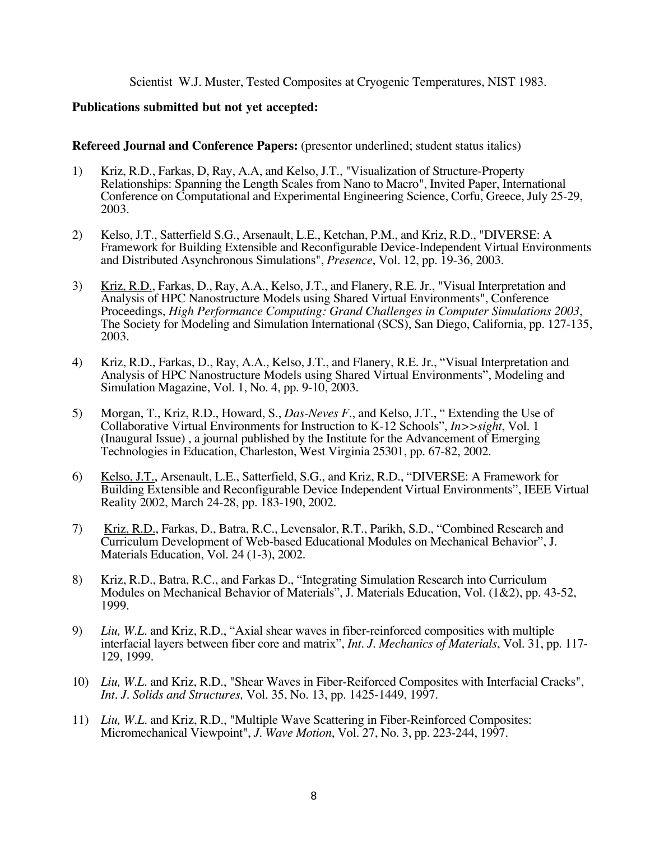### Scientist W.J. Muster, Tested Composites at Cryogenic Temperatures, NIST 1983.

### **Publications submitted but not yet accepted:**

### **Refereed Journal and Conference Papers:** (presentor underlined; student status italics)

- 1) Kriz, R.D., Farkas, D, Ray, A.A, and Kelso, J.T., "Visualization of Structure-Property Relationships: Spanning the Length Scales from Nano to Macro", Invited Paper, International Conference on Computational and Experimental Engineering Science, Corfu, Greece, July 25-29, 2003.
- 2) Kelso, J.T., Satterfield S.G., Arsenault, L.E., Ketchan, P.M., and Kriz, R.D., "DIVERSE: A Framework for Building Extensible and Reconfigurable Device-Independent Virtual Environments and Distributed Asynchronous Simulations", *Presence*, Vol. 12, pp. 19-36, 2003.
- 3) Kriz, R.D., Farkas, D., Ray, A.A., Kelso, J.T., and Flanery, R.E. Jr., "Visual Interpretation and Analysis of HPC Nanostructure Models using Shared Virtual Environments", Conference Proceedings, *High Performance Computing: Grand Challenges in Computer Simulations 2003*, The Society for Modeling and Simulation International (SCS), San Diego, California, pp. 127-135, 2003.
- 4) Kriz, R.D., Farkas, D., Ray, A.A., Kelso, J.T., and Flanery, R.E. Jr., "Visual Interpretation and Analysis of HPC Nanostructure Models using Shared Virtual Environments", Modeling and Simulation Magazine, Vol. 1, No. 4, pp. 9-10, 2003.
- 5) Morgan, T., Kriz, R.D., Howard, S., *Das-Neves F*., and Kelso, J.T., " Extending the Use of Collaborative Virtual Environments for Instruction to K-12 Schools", *In>>sight*, Vol. 1 (Inaugural Issue) , a journal published by the Institute for the Advancement of Emerging Technologies in Education, Charleston, West Virginia 25301, pp. 67-82, 2002.
- 6) Kelso, J.T., Arsenault, L.E., Satterfield, S.G., and Kriz, R.D., "DIVERSE: A Framework for Building Extensible and Reconfigurable Device Independent Virtual Environments", IEEE Virtual Reality 2002, March 24-28, pp. 183-190, 2002.
- 7) Kriz, R.D., Farkas, D., Batra, R.C., Levensalor, R.T., Parikh, S.D., "Combined Research and Curriculum Development of Web-based Educational Modules on Mechanical Behavior", J. Materials Education, Vol. 24 (1-3), 2002.
- 8) Kriz, R.D., Batra, R.C., and Farkas D., "Integrating Simulation Research into Curriculum Modules on Mechanical Behavior of Materials", J. Materials Education, Vol. (1&2), pp. 43-52, 1999.
- 9) *Liu, W.L.* and Kriz, R.D., "Axial shear waves in fiber-reinforced composities with multiple interfacial layers between fiber core and matrix", *Int. J. Mechanics of Materials*, Vol. 31, pp. 117- 129, 1999.
- 10) *Liu, W.L.* and Kriz, R.D., "Shear Waves in Fiber-Reiforced Composites with Interfacial Cracks", *Int. J. Solids and Structures,* Vol. 35, No. 13, pp. 1425-1449, 1997.
- 11) *Liu, W.L.* and Kriz, R.D., "Multiple Wave Scattering in Fiber-Reinforced Composites: Micromechanical Viewpoint", *J. Wave Motion*, Vol. 27, No. 3, pp. 223-244, 1997.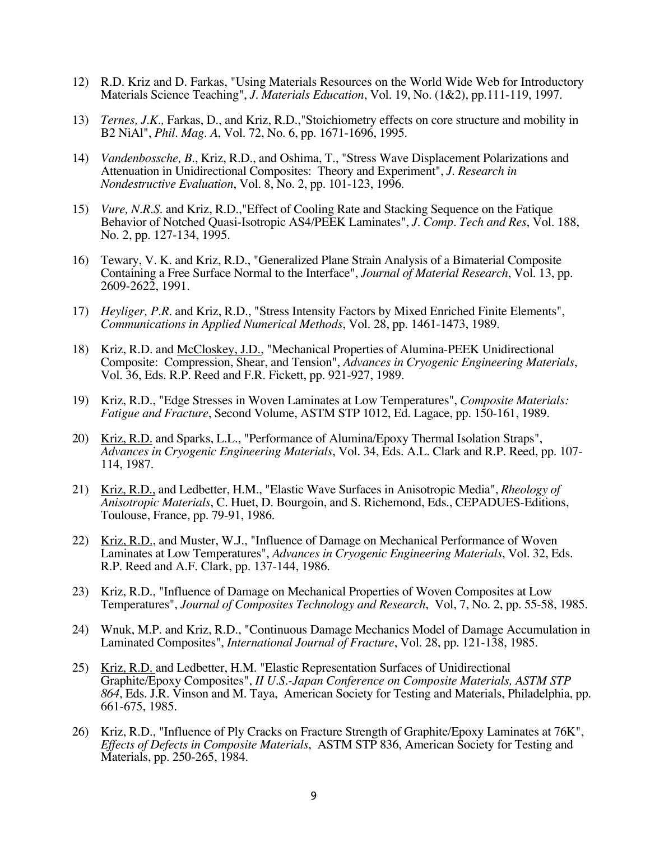- 12) R.D. Kriz and D. Farkas, "Using Materials Resources on the World Wide Web for Introductory Materials Science Teaching", *J. Materials Education*, Vol. 19, No. (1&2), pp.111-119, 1997.
- 13) *Ternes, J.K.,* Farkas, D., and Kriz, R.D.,"Stoichiometry effects on core structure and mobility in B2 NiAl", *Phil. Mag. A*, Vol. 72, No. 6, pp. 1671-1696, 1995.
- 14) *Vandenbossche, B.*, Kriz, R.D., and Oshima, T., "Stress Wave Displacement Polarizations and Attenuation in Unidirectional Composites: Theory and Experiment", *J. Research in Nondestructive Evaluation*, Vol. 8, No. 2, pp. 101-123, 1996.
- 15) *Vure, N.R.S.* and Kriz, R.D.,"Effect of Cooling Rate and Stacking Sequence on the Fatique Behavior of Notched Quasi-Isotropic AS4/PEEK Laminates", *J. Comp. Tech and Res*, Vol. 188, No. 2, pp. 127-134, 1995.
- 16) Tewary, V. K. and Kriz, R.D., "Generalized Plane Strain Analysis of a Bimaterial Composite Containing a Free Surface Normal to the Interface", *Journal of Material Research*, Vol. 13, pp. 2609-2622, 1991.
- 17) *Heyliger, P.R.* and Kriz, R.D., "Stress Intensity Factors by Mixed Enriched Finite Elements", *Communications in Applied Numerical Methods*, Vol. 28, pp. 1461-1473, 1989.
- 18) Kriz, R.D. and McCloskey, J.D., "Mechanical Properties of Alumina-PEEK Unidirectional Composite: Compression, Shear, and Tension", *Advances in Cryogenic Engineering Materials*, Vol. 36, Eds. R.P. Reed and F.R. Fickett, pp. 921-927, 1989.
- 19) Kriz, R.D., "Edge Stresses in Woven Laminates at Low Temperatures", *Composite Materials: Fatigue and Fracture*, Second Volume, ASTM STP 1012, Ed. Lagace, pp. 150-161, 1989.
- 20) Kriz, R.D. and Sparks, L.L., "Performance of Alumina/Epoxy Thermal Isolation Straps", *Advances in Cryogenic Engineering Materials*, Vol. 34, Eds. A.L. Clark and R.P. Reed, pp. 107- 114, 1987.
- 21) Kriz, R.D., and Ledbetter, H.M., "Elastic Wave Surfaces in Anisotropic Media", *Rheology of Anisotropic Materials*, C. Huet, D. Bourgoin, and S. Richemond, Eds., CEPADUES-Editions, Toulouse, France, pp. 79-91, 1986.
- 22) Kriz, R.D., and Muster, W.J., "Influence of Damage on Mechanical Performance of Woven Laminates at Low Temperatures", *Advances in Cryogenic Engineering Materials*, Vol. 32, Eds. R.P. Reed and A.F. Clark, pp. 137-144, 1986.
- 23) Kriz, R.D., "Influence of Damage on Mechanical Properties of Woven Composites at Low Temperatures", *Journal of Composites Technology and Research*, Vol, 7, No. 2, pp. 55-58, 1985.
- 24) Wnuk, M.P. and Kriz, R.D., "Continuous Damage Mechanics Model of Damage Accumulation in Laminated Composites", *International Journal of Fracture*, Vol. 28, pp. 121-138, 1985.
- 25) Kriz, R.D. and Ledbetter, H.M. "Elastic Representation Surfaces of Unidirectional Graphite/Epoxy Composites", *II U.S.-Japan Conference on Composite Materials, ASTM STP 864*, Eds. J.R. Vinson and M. Taya, American Society for Testing and Materials, Philadelphia, pp. 661-675, 1985.
- 26) Kriz, R.D., "Influence of Ply Cracks on Fracture Strength of Graphite/Epoxy Laminates at 76K", *Effects of Defects in Composite Materials*, ASTM STP 836, American Society for Testing and Materials, pp. 250-265, 1984.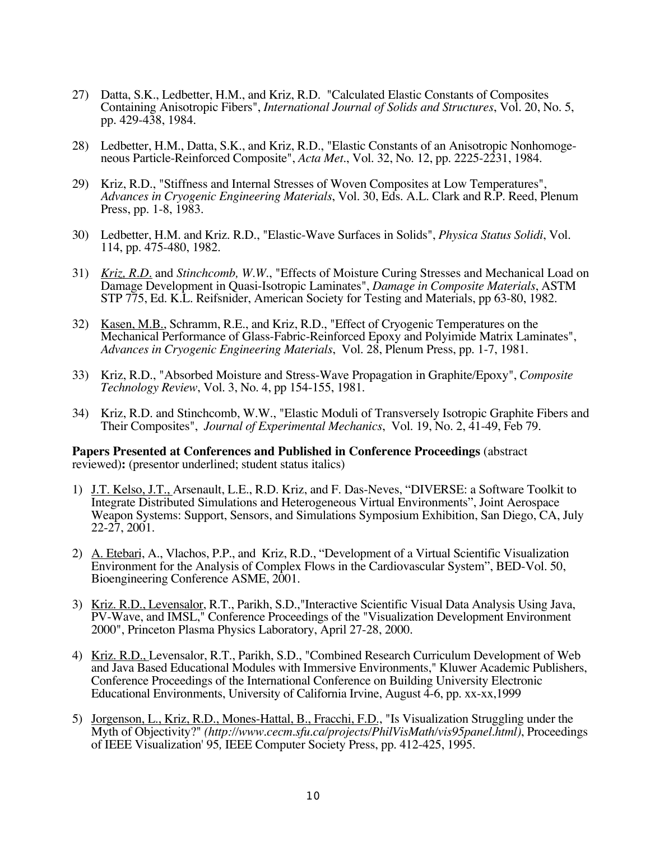- 27) Datta, S.K., Ledbetter, H.M., and Kriz, R.D. "Calculated Elastic Constants of Composites Containing Anisotropic Fibers", *International Journal of Solids and Structures*, Vol. 20, No. 5, pp. 429-438, 1984.
- 28) Ledbetter, H.M., Datta, S.K., and Kriz, R.D., "Elastic Constants of an Anisotropic Nonhomogeneous Particle-Reinforced Composite", *Acta Met.*, Vol. 32, No. 12, pp. 2225-2231, 1984.
- 29) Kriz, R.D., "Stiffness and Internal Stresses of Woven Composites at Low Temperatures", *Advances in Cryogenic Engineering Materials*, Vol. 30, Eds. A.L. Clark and R.P. Reed, Plenum Press, pp. 1-8, 1983.
- 30) Ledbetter, H.M. and Kriz. R.D., "Elastic-Wave Surfaces in Solids", *Physica Status Solidi*, Vol. 114, pp. 475-480, 1982.
- 31) *Kriz, R.D.* and *Stinchcomb, W.W.*, "Effects of Moisture Curing Stresses and Mechanical Load on Damage Development in Quasi-Isotropic Laminates", *Damage in Composite Materials*, ASTM STP 775, Ed. K.L. Reifsnider, American Society for Testing and Materials, pp 63-80, 1982.
- 32) Kasen, M.B., Schramm, R.E., and Kriz, R.D., "Effect of Cryogenic Temperatures on the Mechanical Performance of Glass-Fabric-Reinforced Epoxy and Polyimide Matrix Laminates", *Advances in Cryogenic Engineering Materials*, Vol. 28, Plenum Press, pp. 1-7, 1981.
- 33) Kriz, R.D., "Absorbed Moisture and Stress-Wave Propagation in Graphite/Epoxy", *Composite Technology Review*, Vol. 3, No. 4, pp 154-155, 1981.
- 34) Kriz, R.D. and Stinchcomb, W.W., "Elastic Moduli of Transversely Isotropic Graphite Fibers and Their Composites", *Journal of Experimental Mechanics*, Vol. 19, No. 2, 41-49, Feb 79.

**Papers Presented at Conferences and Published in Conference Proceedings** (abstract reviewed)**:** (presentor underlined; student status italics)

- 1) J.T. Kelso, J.T., Arsenault, L.E., R.D. Kriz, and F. Das-Neves, "DIVERSE: a Software Toolkit to Integrate Distributed Simulations and Heterogeneous Virtual Environments", Joint Aerospace Weapon Systems: Support, Sensors, and Simulations Symposium Exhibition, San Diego, CA, July 22-27, 2001.
- 2) A. Etebari, A., Vlachos, P.P., and Kriz, R.D., "Development of a Virtual Scientific Visualization Environment for the Analysis of Complex Flows in the Cardiovascular System", BED-Vol. 50, Bioengineering Conference ASME, 2001.
- 3) Kriz. R.D., Levensalor, R.T., Parikh, S.D.,"Interactive Scientific Visual Data Analysis Using Java, PV-Wave, and IMSL," Conference Proceedings of the "Visualization Development Environment 2000", Princeton Plasma Physics Laboratory, April 27-28, 2000.
- 4) Kriz. R.D., Levensalor, R.T., Parikh, S.D., "Combined Research Curriculum Development of Web and Java Based Educational Modules with Immersive Environments," Kluwer Academic Publishers, Conference Proceedings of the International Conference on Building University Electronic Educational Environments, University of California Irvine, August 4-6, pp. xx-xx,1999
- 5) Jorgenson, L., Kriz, R.D., Mones-Hattal, B., Fracchi, F.D., "Is Visualization Struggling under the Myth of Objectivity?" *(http://www.cecm.sfu.ca/projects/PhilVisMath/vis95panel.html)*, Proceedings of IEEE Visualization' 95*,* IEEE Computer Society Press, pp. 412-425, 1995.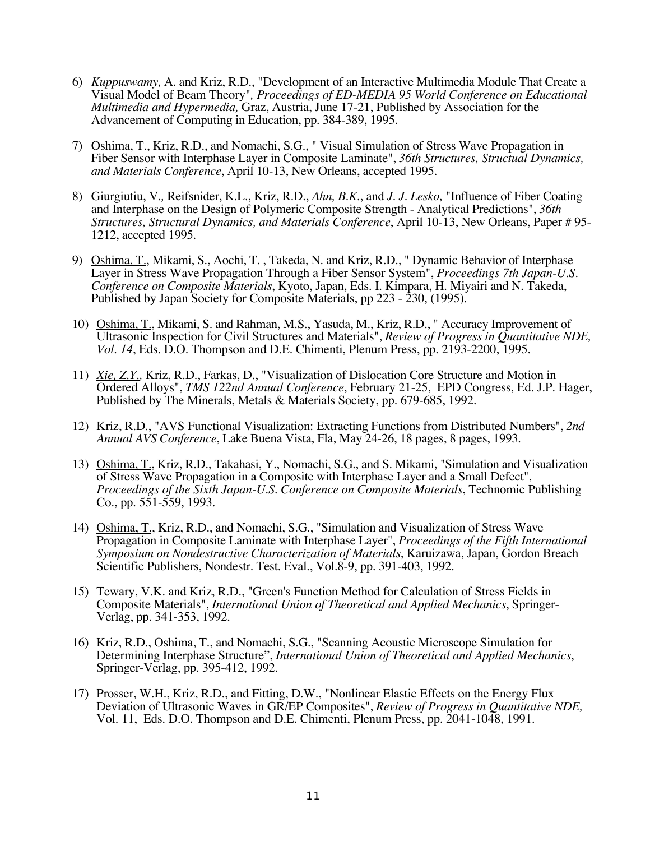- 6) *Kuppuswamy,* A. and Kriz, R.D., "Development of an Interactive Multimedia Module That Create a Visual Model of Beam Theory"*, Proceedings of ED-MEDIA 95 World Conference on Educational Multimedia and Hypermedia,* Graz, Austria, June 17-21, Published by Association for the Advancement of Computing in Education, pp. 384-389, 1995.
- 7) Oshima, T., Kriz, R.D., and Nomachi, S.G., " Visual Simulation of Stress Wave Propagation in Fiber Sensor with Interphase Layer in Composite Laminate", *36th Structures, Structual Dynamics, and Materials Conference*, April 10-13, New Orleans, accepted 1995.
- 8) Giurgiutiu, V.*,* Reifsnider, K.L., Kriz, R.D., *Ahn, B.K.*, and *J. J. Lesko,* "Influence of Fiber Coating and Interphase on the Design of Polymeric Composite Strength - Analytical Predictions", *36th Structures, Structural Dynamics, and Materials Conference*, April 10-13, New Orleans, Paper # 95- 1212, accepted 1995.
- 9) Oshima, T., Mikami, S., Aochi, T. , Takeda, N. and Kriz, R.D., " Dynamic Behavior of Interphase Layer in Stress Wave Propagation Through a Fiber Sensor System", *Proceedings 7th Japan-U.S. Conference on Composite Materials*, Kyoto, Japan, Eds. I. Kimpara, H. Miyairi and N. Takeda, Published by Japan Society for Composite Materials, pp 223 - 230, (1995).
- 10) Oshima, T., Mikami, S. and Rahman, M.S., Yasuda, M., Kriz, R.D., " Accuracy Improvement of Ultrasonic Inspection for Civil Structures and Materials", *Review of Progress in Quantitative NDE, Vol. 14*, Eds. D.O. Thompson and D.E. Chimenti, Plenum Press, pp. 2193-2200, 1995.
- 11) *Xie, Z.Y.,* Kriz, R.D., Farkas, D., "Visualization of Dislocation Core Structure and Motion in Ordered Alloys", *TMS 122nd Annual Conference*, February 21-25, EPD Congress, Ed. J.P. Hager, Published by The Minerals, Metals & Materials Society, pp. 679-685, 1992.
- 12) Kriz, R.D., "AVS Functional Visualization: Extracting Functions from Distributed Numbers", *2nd Annual AVS Conference*, Lake Buena Vista, Fla, May 24-26, 18 pages, 8 pages, 1993.
- 13) Oshima, T., Kriz, R.D., Takahasi, Y., Nomachi, S.G., and S. Mikami, "Simulation and Visualization of Stress Wave Propagation in a Composite with Interphase Layer and a Small Defect", *Proceedings of the Sixth Japan-U.S. Conference on Composite Materials*, Technomic Publishing Co., pp. 551-559, 1993.
- 14) Oshima, T., Kriz, R.D., and Nomachi, S.G., "Simulation and Visualization of Stress Wave Propagation in Composite Laminate with Interphase Layer", *Proceedings of the Fifth International Symposium on Nondestructive Characterization of Materials*, Karuizawa, Japan, Gordon Breach Scientific Publishers, Nondestr. Test. Eval., Vol.8-9, pp. 391-403, 1992.
- 15) Tewary, V.K. and Kriz, R.D., "Green's Function Method for Calculation of Stress Fields in Composite Materials", *International Union of Theoretical and Applied Mechanics*, Springer-Verlag, pp. 341-353, 1992.
- 16) Kriz, R.D., Oshima, T., and Nomachi, S.G., "Scanning Acoustic Microscope Simulation for Determining Interphase Structure", *International Union of Theoretical and Applied Mechanics*, Springer-Verlag, pp. 395-412, 1992.
- 17) Prosser, W.H., Kriz, R.D., and Fitting, D.W., "Nonlinear Elastic Effects on the Energy Flux Deviation of Ultrasonic Waves in GR/EP Composites", *Review of Progress in Quantitative NDE,* Vol. 11, Eds. D.O. Thompson and D.E. Chimenti, Plenum Press, pp. 2041-1048, 1991.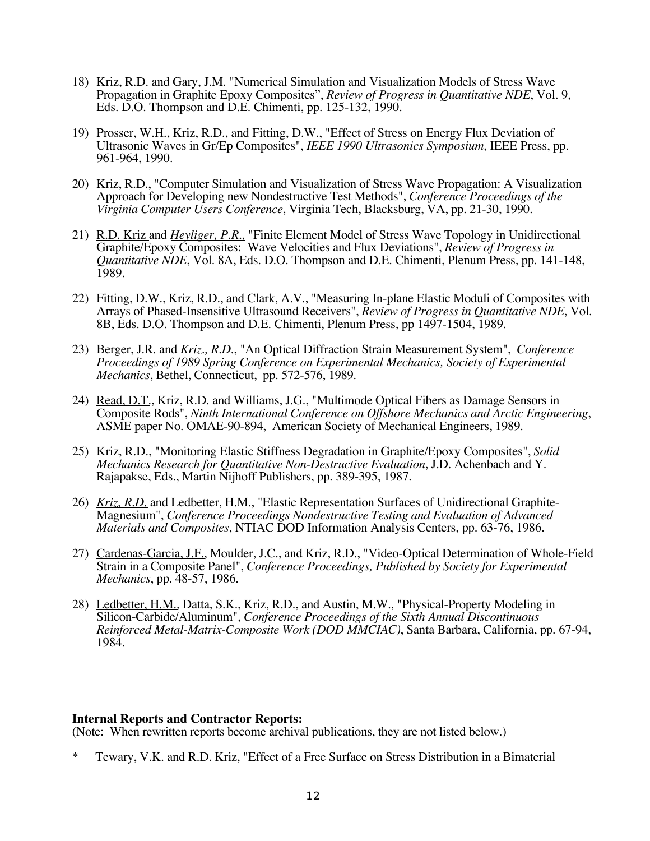- 18) Kriz, R.D. and Gary, J.M. "Numerical Simulation and Visualization Models of Stress Wave Propagation in Graphite Epoxy Composites", *Review of Progress in Quantitative NDE*, Vol. 9, Eds. D.O. Thompson and D.E. Chimenti, pp. 125-132, 1990.
- 19) Prosser, W.H., Kriz, R.D., and Fitting, D.W., "Effect of Stress on Energy Flux Deviation of Ultrasonic Waves in Gr/Ep Composites", *IEEE 1990 Ultrasonics Symposium*, IEEE Press, pp. 961-964, 1990.
- 20) Kriz, R.D., "Computer Simulation and Visualization of Stress Wave Propagation: A Visualization Approach for Developing new Nondestructive Test Methods", *Conference Proceedings of the Virginia Computer Users Conference*, Virginia Tech, Blacksburg, VA, pp. 21-30, 1990.
- 21) R.D. Kriz and *Heyliger, P.R.,* "Finite Element Model of Stress Wave Topology in Unidirectional Graphite/Epoxy Composites: Wave Velocities and Flux Deviations", *Review of Progress in Quantitative NDE*, Vol. 8A, Eds. D.O. Thompson and D.E. Chimenti, Plenum Press, pp. 141-148, 1989.
- 22) Fitting, D.W., Kriz, R.D., and Clark, A.V., "Measuring In-plane Elastic Moduli of Composites with Arrays of Phased-Insensitive Ultrasound Receivers", *Review of Progress in Quantitative NDE*, Vol. 8B, Eds. D.O. Thompson and D.E. Chimenti, Plenum Press, pp 1497-1504, 1989.
- 23) Berger, J.R. and *Kriz., R.D*., "An Optical Diffraction Strain Measurement System", *Conference Proceedings of 1989 Spring Conference on Experimental Mechanics, Society of Experimental Mechanics*, Bethel, Connecticut, pp. 572-576, 1989.
- 24) Read, D.T., Kriz, R.D. and Williams, J.G., "Multimode Optical Fibers as Damage Sensors in Composite Rods", *Ninth International Conference on Offshore Mechanics and Arctic Engineering*, ASME paper No. OMAE-90-894, American Society of Mechanical Engineers, 1989.
- 25) Kriz, R.D., "Monitoring Elastic Stiffness Degradation in Graphite/Epoxy Composites", *Solid Mechanics Research for Quantitative Non-Destructive Evaluation*, J.D. Achenbach and Y. Rajapakse, Eds., Martin Nijhoff Publishers, pp. 389-395, 1987.
- 26) *Kriz, R.D.* and Ledbetter, H.M., "Elastic Representation Surfaces of Unidirectional Graphite-Magnesium", *Conference Proceedings Nondestructive Testing and Evaluation of Advanced Materials and Composites*, NTIAC DOD Information Analysis Centers, pp. 63-76, 1986.
- 27) Cardenas-Garcia, J.F., Moulder, J.C., and Kriz, R.D., "Video-Optical Determination of Whole-Field Strain in a Composite Panel", *Conference Proceedings, Published by Society for Experimental Mechanics*, pp. 48-57, 1986.
- 28) Ledbetter, H.M., Datta, S.K., Kriz, R.D., and Austin, M.W., "Physical-Property Modeling in Silicon-Carbide/Aluminum", *Conference Proceedings of the Sixth Annual Discontinuous Reinforced Metal-Matrix-Composite Work (DOD MMCIAC)*, Santa Barbara, California, pp. 67-94, 1984.

### **Internal Reports and Contractor Reports:**

(Note: When rewritten reports become archival publications, they are not listed below.)

\* Tewary, V.K. and R.D. Kriz, "Effect of a Free Surface on Stress Distribution in a Bimaterial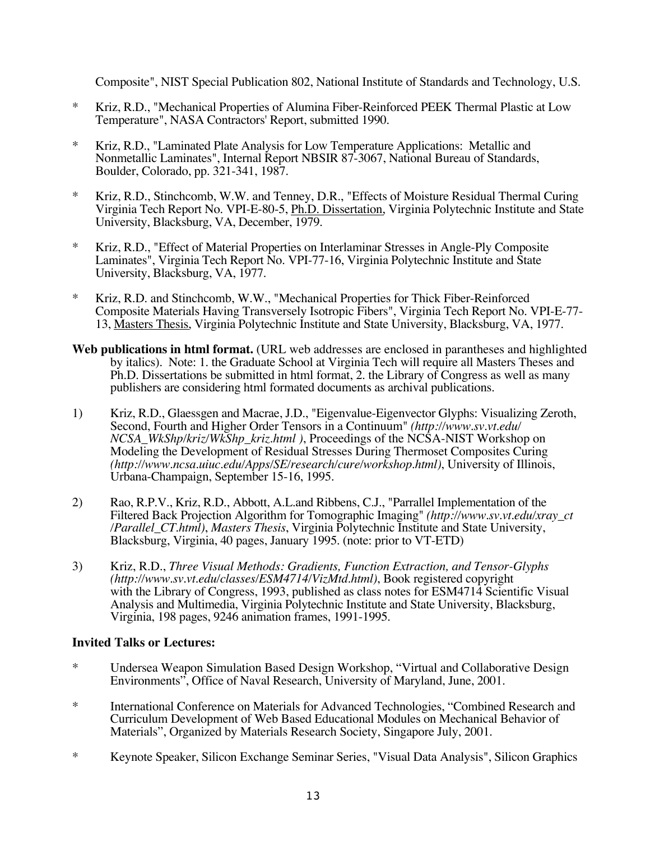Composite", NIST Special Publication 802, National Institute of Standards and Technology, U.S.

- \* Kriz, R.D., "Mechanical Properties of Alumina Fiber-Reinforced PEEK Thermal Plastic at Low Temperature", NASA Contractors' Report, submitted 1990.
- Kriz, R.D., "Laminated Plate Analysis for Low Temperature Applications: Metallic and Nonmetallic Laminates", Internal Report NBSIR 87-3067, National Bureau of Standards, Boulder, Colorado, pp. 321-341, 1987.
- \* Kriz, R.D., Stinchcomb, W.W. and Tenney, D.R., "Effects of Moisture Residual Thermal Curing Virginia Tech Report No. VPI-E-80-5, Ph.D. Dissertation, Virginia Polytechnic Institute and State University, Blacksburg, VA, December, 1979.
- \* Kriz, R.D., "Effect of Material Properties on Interlaminar Stresses in Angle-Ply Composite Laminates", Virginia Tech Report No. VPI-77-16, Virginia Polytechnic Institute and State University, Blacksburg, VA, 1977.
- \* Kriz, R.D. and Stinchcomb, W.W., "Mechanical Properties for Thick Fiber-Reinforced Composite Materials Having Transversely Isotropic Fibers", Virginia Tech Report No. VPI-E-77- 13, Masters Thesis, Virginia Polytechnic Institute and State University, Blacksburg, VA, 1977.
- **Web publications in html format.** (URL web addresses are enclosed in parantheses and highlighted by italics). Note: 1. the Graduate School at Virginia Tech will require all Masters Theses and Ph.D. Dissertations be submitted in html format, 2. the Library of Congress as well as many publishers are considering html formated documents as archival publications.
- 1) Kriz, R.D., Glaessgen and Macrae, J.D., "Eigenvalue-Eigenvector Glyphs: Visualizing Zeroth, Second, Fourth and Higher Order Tensors in a Continuum" *(http://www.sv.vt.edu/ NCSA\_WkShp/kriz/WkShp\_kriz.html )*, Proceedings of the NCSA-NIST Workshop on Modeling the Development of Residual Stresses During Thermoset Composites Curing *(http://www.ncsa.uiuc.edu/Apps/SE/research/cure/workshop.html)*, University of Illinois, Urbana-Champaign, September 15-16, 1995.
- 2) Rao, R.P.V., Kriz, R.D., Abbott, A.L.and Ribbens, C.J., "Parrallel Implementation of the Filtered Back Projection Algorithm for Tomographic Imaging" *(http://www.sv.vt.edu/xray\_ct /Parallel\_CT.html)*, *Masters Thesis*, Virginia Polytechnic Institute and State University, Blacksburg, Virginia, 40 pages, January 1995. (note: prior to VT-ETD)
- 3) Kriz, R.D., *Three Visual Methods: Gradients, Function Extraction, and Tensor-Glyphs (http://www.sv.vt.edu/classes/ESM4714/VizMtd.html)*, Book registered copyright with the Library of Congress, 1993, published as class notes for ESM4714 Scientific Visual Analysis and Multimedia, Virginia Polytechnic Institute and State University, Blacksburg, Virginia, 198 pages, 9246 animation frames, 1991-1995.

# **Invited Talks or Lectures:**

- \* Undersea Weapon Simulation Based Design Workshop, "Virtual and Collaborative Design Environments", Office of Naval Research, University of Maryland, June, 2001.
- \* International Conference on Materials for Advanced Technologies, "Combined Research and Curriculum Development of Web Based Educational Modules on Mechanical Behavior of Materials", Organized by Materials Research Society, Singapore July, 2001.
- \* Keynote Speaker, Silicon Exchange Seminar Series, "Visual Data Analysis", Silicon Graphics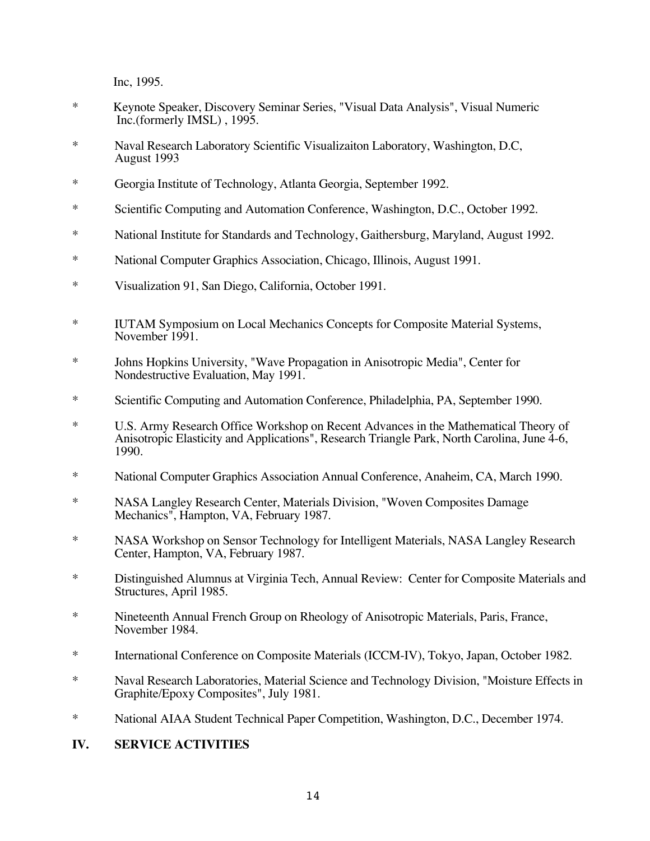Inc, 1995.

- \* Keynote Speaker, Discovery Seminar Series, "Visual Data Analysis", Visual Numeric Inc.(formerly IMSL) , 1995.
- \* Naval Research Laboratory Scientific Visualizaiton Laboratory, Washington, D.C, August 1993
- \* Georgia Institute of Technology, Atlanta Georgia, September 1992.
- \* Scientific Computing and Automation Conference, Washington, D.C., October 1992.
- \* National Institute for Standards and Technology, Gaithersburg, Maryland, August 1992.
- \* National Computer Graphics Association, Chicago, Illinois, August 1991.
- \* Visualization 91, San Diego, California, October 1991.
- \* IUTAM Symposium on Local Mechanics Concepts for Composite Material Systems, November 1991.
- \* Johns Hopkins University, "Wave Propagation in Anisotropic Media", Center for Nondestructive Evaluation, May 1991.
- \* Scientific Computing and Automation Conference, Philadelphia, PA, September 1990.
- \* U.S. Army Research Office Workshop on Recent Advances in the Mathematical Theory of Anisotropic Elasticity and Applications", Research Triangle Park, North Carolina, June 4-6, 1990.
- \* National Computer Graphics Association Annual Conference, Anaheim, CA, March 1990.
- \* NASA Langley Research Center, Materials Division, "Woven Composites Damage Mechanics", Hampton, VA, February 1987.
- \* NASA Workshop on Sensor Technology for Intelligent Materials, NASA Langley Research Center, Hampton, VA, February 1987.
- \* Distinguished Alumnus at Virginia Tech, Annual Review: Center for Composite Materials and Structures, April 1985.
- \* Nineteenth Annual French Group on Rheology of Anisotropic Materials, Paris, France, November 1984.
- \* International Conference on Composite Materials (ICCM-IV), Tokyo, Japan, October 1982.
- \* Naval Research Laboratories, Material Science and Technology Division, "Moisture Effects in Graphite/Epoxy Composites", July 1981.
- \* National AIAA Student Technical Paper Competition, Washington, D.C., December 1974.

# **IV. SERVICE ACTIVITIES**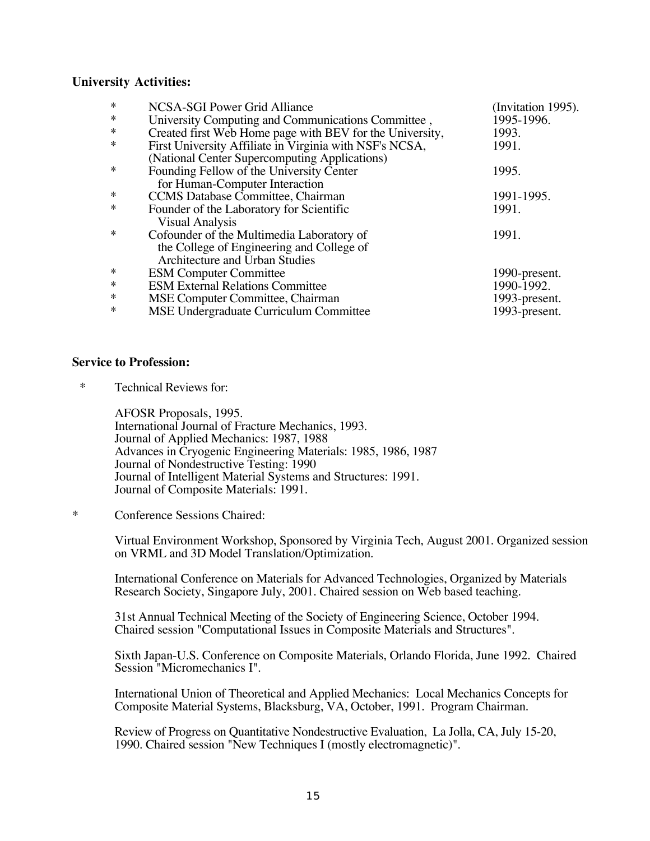### **University Activities:**

| $\ast$ | NCSA-SGI Power Grid Alliance                             | (Invitation 1995). |
|--------|----------------------------------------------------------|--------------------|
| $\ast$ | University Computing and Communications Committee,       | 1995-1996.         |
| $\ast$ | Created first Web Home page with BEV for the University, | 1993.              |
| $\ast$ | First University Affiliate in Virginia with NSF's NCSA,  | 1991.              |
|        | (National Center Supercomputing Applications)            |                    |
| $\ast$ | Founding Fellow of the University Center                 | 1995.              |
|        | for Human-Computer Interaction                           |                    |
| $\ast$ | <b>CCMS</b> Database Committee, Chairman                 | 1991-1995.         |
| $\ast$ | Founder of the Laboratory for Scientific                 | 1991.              |
|        | <b>Visual Analysis</b>                                   |                    |
| $\ast$ | Cofounder of the Multimedia Laboratory of                | 1991.              |
|        | the College of Engineering and College of                |                    |
|        | Architecture and Urban Studies                           |                    |
| $\ast$ | <b>ESM Computer Committee</b>                            | 1990-present.      |
| $\ast$ | <b>ESM External Relations Committee</b>                  | 1990-1992.         |
| $\ast$ | MSE Computer Committee, Chairman                         | 1993-present.      |
| $\ast$ | MSE Undergraduate Curriculum Committee                   | 1993-present.      |

#### **Service to Profession:**

\* Technical Reviews for:

AFOSR Proposals, 1995. International Journal of Fracture Mechanics, 1993. Journal of Applied Mechanics: 1987, 1988 Advances in Cryogenic Engineering Materials: 1985, 1986, 1987 Journal of Nondestructive Testing: 1990 Journal of Intelligent Material Systems and Structures: 1991. Journal of Composite Materials: 1991.

\* Conference Sessions Chaired:

Virtual Environment Workshop, Sponsored by Virginia Tech, August 2001. Organized session on VRML and 3D Model Translation/Optimization.

International Conference on Materials for Advanced Technologies, Organized by Materials Research Society, Singapore July, 2001. Chaired session on Web based teaching.

31st Annual Technical Meeting of the Society of Engineering Science, October 1994. Chaired session "Computational Issues in Composite Materials and Structures".

Sixth Japan-U.S. Conference on Composite Materials, Orlando Florida, June 1992. Chaired Session "Micromechanics I".

International Union of Theoretical and Applied Mechanics: Local Mechanics Concepts for Composite Material Systems, Blacksburg, VA, October, 1991. Program Chairman.

Review of Progress on Quantitative Nondestructive Evaluation, La Jolla, CA, July 15-20, 1990. Chaired session "New Techniques I (mostly electromagnetic)".